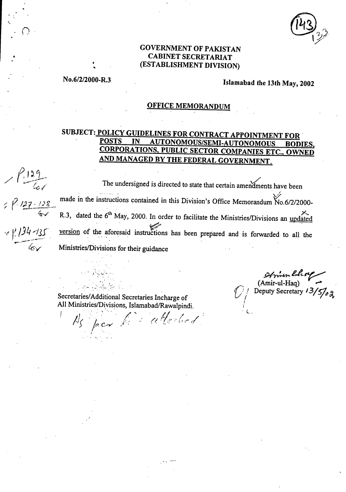## **GOVERNMENT OF PAKISTAN <sup>a</sup>CABINET SECRETARIAT (ESTABLISHMENT DIVISION)**

**No.6/2/2000-R.3 Islamabad the 13th May, 2002** 

## **OFFICE MEMORANDUM**

# **SUBJECT: <u>POLICY GUIDELINES FOR CONTRACT APPOINTMENT FOR</u><br>POSTS IN AUTONOMOUS/SEMI-AUTONOMOUS POD POSTS IN AUTONOMOUS/SEMI-AUTONOMOUS BODIES, CORPORATIONS, PUBLIC SECTOR COMPANIES ETC., OWNED AND MANAGED BY THE FEDERAL GOVERNMENT.**

 $\sqrt{129}$ <br>The undersigned is directed to state that certain amendments have been made in the instructions contained in this Division's Office Memorandum No.6/2/2000-<br>  $\frac{27 \cdot 128}{4}$  R.3, dated the 6<sup>th</sup> May, 2000. In order to facilitate the Ministries/Divisions on under R.3, dated the  $6<sup>th</sup>$  May, 2000. In order to facilitate the Ministries/Divisions an updated  $\frac{1}{2}$ . / $\frac{1}{3}$ . version of the aforesaid instructions has been prepared and is forwarded to all the<br> $\frac{1}{2}$ Ministries/Divisions for their guidance

Secretaries/Additional Secretaries Incharge of All Ministries/Divisions, Islamabad/Rawalpindi.

As per lis atterled

 $\boldsymbol{\gamma}$ 

S1174-44.- (Amir-ul-Haq)<br> *Peputy Secretary 13/5/<sub>02</sub>* 

L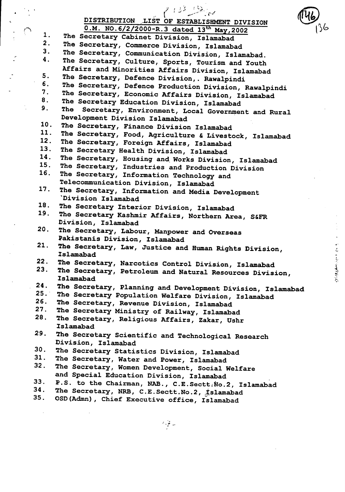|     | $\ell^{112}$ , $\gg_{\rm tot}$                                             |  |
|-----|----------------------------------------------------------------------------|--|
|     | DISTRIBUTION LIST OF ESTABLISHMENT DIVISION                                |  |
|     | 0.M. NO.6/2/2000-R.3 dated 13th May, 2002                                  |  |
| 1.  | The Secretary Cabinet Division, Islamabad                                  |  |
| 2.  | The Secretary, Commerce Division, Islamabad                                |  |
| 3.  | The Secretary, Communication Division, Islamabad.                          |  |
| 4.  | The Secretary, Culture, Sports, Tourism and Youth                          |  |
|     | Affairs and Minorities Affairs Division, Islamabad                         |  |
| 5.  | The Secretary, Defence Division, . Rawalpindi                              |  |
| 6.  | The Secretary, Defence Production Division, Rawalpindi                     |  |
| 7.  | The Secretary, Economic Affairs Division, Islamabad                        |  |
| 8.  | The Secretary Education Division, Islamabad                                |  |
| 9.  | The Secretary, Environment, Local Government and Rural                     |  |
|     | Development Division Islamabad                                             |  |
| 10. | The Secretary, Finance Division Islamabad                                  |  |
| 11. | The Secretary, Food, Agriculture & Livestock, Islamabad                    |  |
| 12. | The Secretary, Foreign Affairs, Islamabad                                  |  |
| 13. | The Secretary Health Division, Islamabad                                   |  |
| 14. | The Secretary, Housing and Works Division, Islamabad                       |  |
| 15. | The Secretary, Industries and Production Division                          |  |
| 16. | The Secretary, Information Technology and                                  |  |
|     | Telecommunication Division, Islamabad                                      |  |
| 17. | The Secretary, Information and Media Development                           |  |
|     | `Division Islamabad                                                        |  |
| 18. | The Secretary Interior Division, Islamabad                                 |  |
| 19. | The Secretary Kashmir Affairs, Northern Area, S&FR                         |  |
|     | Division, Islamabad                                                        |  |
| 20. | The Secretary, Labour, Manpower and Overseas                               |  |
| 21. | Pakistanis Division, Islamabad                                             |  |
|     | The Secretary, Law, Justice and Human Rights Division,                     |  |
| 22. | Islamabad                                                                  |  |
| 23. | The Secretary, Narcotics Control Division, Islamabad                       |  |
|     | The Secretary, Petroleum and Natural Resources Division,                   |  |
| 24. | Islamabad                                                                  |  |
| 25. | The Secretary, Planning and Development Division, Islamabad                |  |
| 26. | The Secretary Population Welfare Division, Islamabad                       |  |
| 27. | The Secretary, Revenue Division, Islamabad                                 |  |
| 28. | The Secretary Ministry of Railway, Islamabad                               |  |
|     | The Secretary, Religious Affairs, Zakar, Ushr<br>Islamabad                 |  |
| 29. |                                                                            |  |
|     | The Secretary Scientific and Technological Research<br>Division, Islamabad |  |
| 30. | The Secretary Statistics Division, Islamabad                               |  |
| 31. | The Secretary, Water and Power, Islamabad                                  |  |
| 32. | The Secretary, Women Development, Social Welfare                           |  |
|     | and Special Education Division, Islamabad                                  |  |
| 33. | P.S. to the Chairman, NAB., C.E. Sectt. No.2, Islamabad                    |  |
| 34. | The Secretary, NRB, C.E.Sectt.No.2, Islamabad                              |  |
| 35. | OSD (Admn), Chief Executive office, Islamabad                              |  |
|     |                                                                            |  |
|     |                                                                            |  |

 $\frac{1}{2}$ 

 $\sum_{i=1}^{n}$ 

 $\ddot{\phantom{0}}$ 

 $\frac{1}{2}$ 

 $\ddot{\cdot}$ 

 $\frac{1}{2} \sum_{i=1}^{n} \frac{1}{2} \sum_{j=1}^{n} \frac{1}{2} \sum_{j=1}^{n} \frac{1}{2} \sum_{j=1}^{n} \frac{1}{2} \sum_{j=1}^{n} \frac{1}{2} \sum_{j=1}^{n} \frac{1}{2} \sum_{j=1}^{n} \frac{1}{2} \sum_{j=1}^{n} \frac{1}{2} \sum_{j=1}^{n} \frac{1}{2} \sum_{j=1}^{n} \frac{1}{2} \sum_{j=1}^{n} \frac{1}{2} \sum_{j=1}^{n} \frac{1}{2} \sum_{j=1}^{n$ 

**この イントリーナーゼ 名前 ものを素晴らない** 

 $\ddot{\phantom{0}}$ 

 $\begin{aligned} \mathcal{P} &\leq \frac{1}{\sigma} \frac{1}{\sigma} \frac{1}{\sigma^2} \end{aligned}$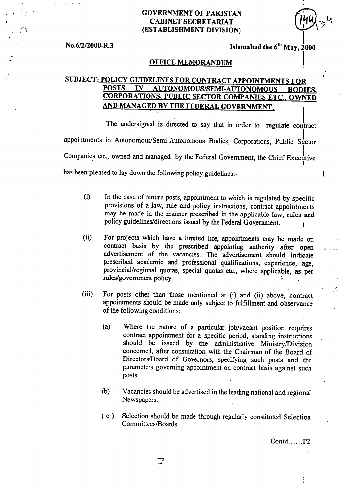## **GOVERNMENT OF PAKISTAN CABINET SECRETARIAT (ESTABLISHMENT DIVISION)**

**No.6/2/2000-R.3 Islamabad the 6<sup>th</sup> May, 2000** 

### **OFFICE MEMORANDUM**

## **SUBJECT: POLICY GUIDELINES FOR CONTRACT APPOINTMENTS FOR POSTS IN AUTONOMOUS/SEMI-AUTONOMOUS BODIES, CORPORATIONS, PUBLIC SECTOR COMPANIES ETC., OWNED AND MANAGED BY THE FEDERAL GOVERNMENT.**

The undersigned is directed to say that in order to regulate contract appointments in Autonomous/Semi-Autonomous Bodies, Corporations, Public Sector Companies etc., owned and managed by the Federal Government, the Chief Executive has been pleased to lay down the following policy guidelines:-

- In the case of tenure posts, appointment to which is regulated by specific provisions of a law, rule and policy instructions, contract appointments may be made in the manner prescribed in the applicable law, rules and policy guidelines/directions issued by the Federal Government. (i)
- $(ii)$ For projects which have a limited life, appointments may be made on contract basis by the prescribed appointing authority after open advertisement of the vacancies. The advertisement should indicate prescribed academic and professional qualifications, experience, age, provincial/regional quotas, special quotas etc., where applicable, as per rules/government policy. !.
- $(iii)$ For posts other than those mentioned at (i) and (ii) above, contract appointments should be made only subject to fulfillment and observance of the following conditions:
	- Where the nature of a particular job/vacant position requires  $(a)$ contract appointment for a specific period, standing instructions should be issued by the administrative Ministry/Division concerned, after consultation with the Chairman of the Board of Directors/Board of Governors, specifying such posts and the parameters governing appointment on contract basis against such posts.
	- Vacancies should be advertised in the leading national and regional  $(b)$ Newspapers.
	- ( c ) Selection should be made through regularly constituted Selection Committees/Boards.

 $Contd$ ...... $P2$ 

 $\frac{1}{2}$